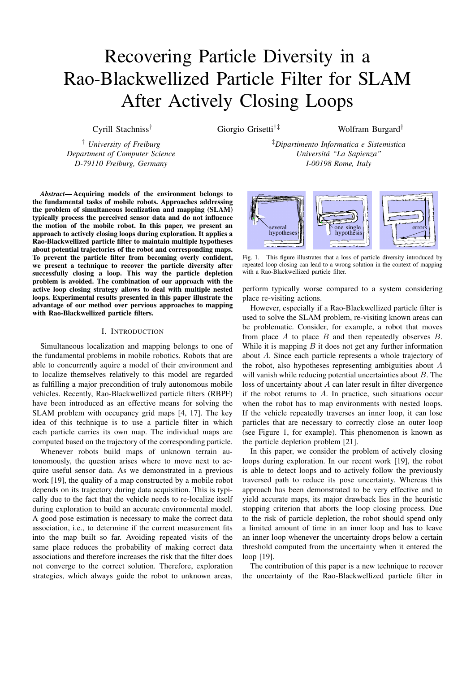# Recovering Particle Diversity in a Rao-Blackwellized Particle Filter for SLAM After Actively Closing Loops

Cyrill Stachniss†

Giorgio Grisetti†‡ Wolfram Burgard†

† *University of Freiburg Department of Computer Science D-79110 Freiburg, Germany*

*Abstract***— Acquiring models of the environment belongs to the fundamental tasks of mobile robots. Approaches addressing the problem of simultaneous localization and mapping (SLAM) typically process the perceived sensor data and do not influence the motion of the mobile robot. In this paper, we present an approach to actively closing loops during exploration. It applies a Rao-Blackwellized particle filter to maintain multiple hypotheses about potential trajectories of the robot and corresponding maps. To prevent the particle filter from becoming overly confident, we present a technique to recover the particle diversity after successfully closing a loop. This way the particle depletion problem is avoided. The combination of our approach with the active loop closing strategy allows to deal with multiple nested loops. Experimental results presented in this paper illustrate the advantage of our method over pervious approaches to mapping with Rao-Blackwellized particle filters.**

# I. INTRODUCTION

Simultaneous localization and mapping belongs to one of the fundamental problems in mobile robotics. Robots that are able to concurrently aquire a model of their environment and to localize themselves relatively to this model are regarded as fulfilling a major precondition of truly autonomous mobile vehicles. Recently, Rao-Blackwellized particle filters (RBPF) have been introduced as an effective means for solving the SLAM problem with occupancy grid maps [4, 17]. The key idea of this technique is to use a particle filter in which each particle carries its own map. The individual maps are computed based on the trajectory of the corresponding particle.

Whenever robots build maps of unknown terrain autonomously, the question arises where to move next to acquire useful sensor data. As we demonstrated in a previous work [19], the quality of a map constructed by a mobile robot depends on its trajectory during data acquisition. This is typically due to the fact that the vehicle needs to re-localize itself during exploration to build an accurate environmental model. A good pose estimation is necessary to make the correct data association, i.e., to determine if the current measurement fits into the map built so far. Avoiding repeated visits of the same place reduces the probability of making correct data associations and therefore increases the risk that the filter does not converge to the correct solution. Therefore, exploration strategies, which always guide the robot to unknown areas,

‡*Dipartimento Informatica e Sistemistica Universita´ "La Sapienza" I-00198 Rome, Italy*



Fig. 1. This figure illustrates that a loss of particle diversity introduced by repeated loop closing can lead to a wrong solution in the context of mapping with a Rao-Blackwellized particle filter.

perform typically worse compared to a system considering place re-visiting actions.

However, especially if a Rao-Blackwellized particle filter is used to solve the SLAM problem, re-visiting known areas can be problematic. Consider, for example, a robot that moves from place  $A$  to place  $B$  and then repeatedly observes  $B$ . While it is mapping  $B$  it does not get any further information about A. Since each particle represents a whole trajectory of the robot, also hypotheses representing ambiguities about A will vanish while reducing potential uncertainties about  $B$ . The loss of uncertainty about A can later result in filter divergence if the robot returns to A. In practice, such situations occur when the robot has to map environments with nested loops. If the vehicle repeatedly traverses an inner loop, it can lose particles that are necessary to correctly close an outer loop (see Figure 1, for example). This phenomenon is known as the particle depletion problem [21].

In this paper, we consider the problem of actively closing loops during exploration. In our recent work [19], the robot is able to detect loops and to actively follow the previously traversed path to reduce its pose uncertainty. Whereas this approach has been demonstrated to be very effective and to yield accurate maps, its major drawback lies in the heuristic stopping criterion that aborts the loop closing process. Due to the risk of particle depletion, the robot should spend only a limited amount of time in an inner loop and has to leave an inner loop whenever the uncertainty drops below a certain threshold computed from the uncertainty when it entered the loop [19].

The contribution of this paper is a new technique to recover the uncertainty of the Rao-Blackwellized particle filter in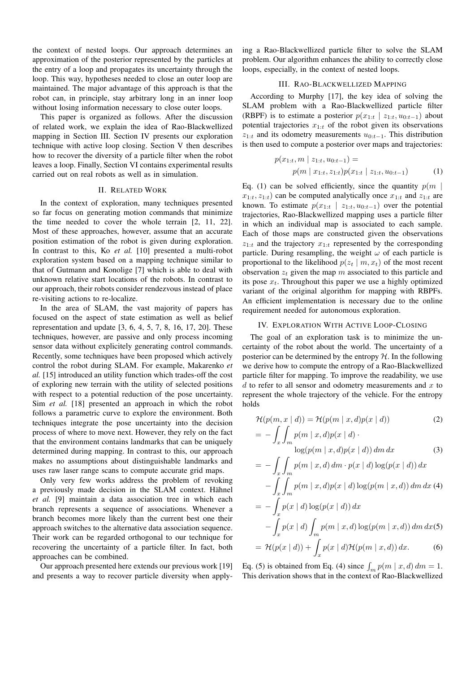the context of nested loops. Our approach determines an approximation of the posterior represented by the particles at the entry of a loop and propagates its uncertainty through the loop. This way, hypotheses needed to close an outer loop are maintained. The major advantage of this approach is that the robot can, in principle, stay arbitrary long in an inner loop without losing information necessary to close outer loops.

This paper is organized as follows. After the discussion of related work, we explain the idea of Rao-Blackwellized mapping in Section III. Section IV presents our exploration technique with active loop closing. Section V then describes how to recover the diversity of a particle filter when the robot leaves a loop. Finally, Section VI contains experimental results carried out on real robots as well as in simulation.

#### II. RELATED WORK

In the context of exploration, many techniques presented so far focus on generating motion commands that minimize the time needed to cover the whole terrain [2, 11, 22]. Most of these approaches, however, assume that an accurate position estimation of the robot is given during exploration. In contrast to this, Ko *et al.* [10] presented a multi-robot exploration system based on a mapping technique similar to that of Gutmann and Konolige [7] which is able to deal with unknown relative start locations of the robots. In contrast to our approach, their robots consider rendezvous instead of place re-visiting actions to re-localize.

In the area of SLAM, the vast majority of papers has focused on the aspect of state estimation as well as belief representation and update  $[3, 6, 4, 5, 7, 8, 16, 17, 20]$ . These techniques, however, are passive and only process incoming sensor data without explicitely generating control commands. Recently, some techniques have been proposed which actively control the robot during SLAM. For example, Makarenko *et al.* [15] introduced an utility function which trades-off the cost of exploring new terrain with the utility of selected positions with respect to a potential reduction of the pose uncertainty. Sim *et al.* [18] presented an approach in which the robot follows a parametric curve to explore the environment. Both techniques integrate the pose uncertainty into the decision process of where to move next. However, they rely on the fact that the environment contains landmarks that can be uniquely determined during mapping. In contrast to this, our approach makes no assumptions about distinguishable landmarks and uses raw laser range scans to compute accurate grid maps.

Only very few works address the problem of revoking a previously made decision in the SLAM context. Hähnel *et al.* [9] maintain a data association tree in which each branch represents a sequence of associations. Whenever a branch becomes more likely than the current best one their approach switches to the alternative data association sequence. Their work can be regarded orthogonal to our technique for recovering the uncertainty of a particle filter. In fact, both approaches can be combined.

Our approach presented here extends our previous work [19] and presents a way to recover particle diversity when applying a Rao-Blackwellized particle filter to solve the SLAM problem. Our algorithm enhances the ability to correctly close loops, especially, in the context of nested loops.

## III. RAO-BLACKWELLIZED MAPPING

According to Murphy [17], the key idea of solving the SLAM problem with a Rao-Blackwellized particle filter (RBPF) is to estimate a posterior  $p(x_{1:t} | z_{1:t}, u_{0:t-1})$  about potential trajectories  $x_{1:t}$  of the robot given its observations  $z_{1:t}$  and its odometry measurements  $u_{0:t-1}$ . This distribution is then used to compute a posterior over maps and trajectories:

$$
p(x_{1:t}, m \mid z_{1:t}, u_{0:t-1}) =
$$
  
 
$$
p(m \mid x_{1:t}, z_{1:t}) p(x_{1:t} \mid z_{1:t}, u_{0:t-1})
$$
 (1)

Eq. (1) can be solved efficiently, since the quantity  $p(m)$  $x_{1:t}$ ,  $z_{1:t}$ ) can be computed analytically once  $x_{1:t}$  and  $z_{1:t}$  are known. To estimate  $p(x_{1:t} | z_{1:t}, u_{0:t-1})$  over the potential trajectories, Rao-Blackwellized mapping uses a particle filter in which an individual map is associated to each sample. Each of those maps are constructed given the observations  $z_{1:t}$  and the trajectory  $x_{1:t}$  represented by the corresponding particle. During resampling, the weight  $\omega$  of each particle is proportional to the likelihood  $p(z_t | m, x_t)$  of the most recent observation  $z_t$  given the map m associated to this particle and its pose  $x_t$ . Throughout this paper we use a highly optimized variant of the original algorithm for mapping with RBPFs. An efficient implementation is necessary due to the online requirement needed for autonomous exploration.

## IV. EXPLORATION WITH ACTIVE LOOP-CLOSING

The goal of an exploration task is to minimize the uncertainty of the robot about the world. The uncertainty of a posterior can be determined by the entropy  $H$ . In the following we derive how to compute the entropy of a Rao-Blackwellized particle filter for mapping. To improve the readability, we use  $d$  to refer to all sensor and odometry measurements and  $x$  to represent the whole trajectory of the vehicle. For the entropy holds

$$
\mathcal{H}(p(m,x \mid d)) = \mathcal{H}(p(m \mid x, d)p(x \mid d)) \tag{2}
$$

$$
= -\int_{x} \int_{m} p(m \mid x, d)p(x \mid d) \cdot \log(p(m \mid x, d)p(x \mid d)) dm dx \tag{3}
$$

$$
= - \int_x \int_m p(m \mid x, d) dm \cdot p(x \mid d) \log(p(x \mid d)) dx
$$
  

$$
- \int_x \int_m p(m \mid x, d) p(x \mid d) \log(p(m \mid x, d)) dm dx (4)
$$
  

$$
= - \int_x p(x \mid d) \log(p(x \mid d)) dx
$$
  

$$
- \int_x p(x \mid d) \int_m p(m \mid x, d) \log(p(m \mid x, d)) dm dx (5)
$$

$$
= \mathcal{H}(p(x \mid d)) + \int_{x} p(x \mid d)\mathcal{H}(p(m \mid x, d)) dx.
$$
 (6)

Eq. (5) is obtained from Eq. (4) since  $\int_m p(m \mid x, d) dm = 1$ . This derivation shows that in the context of Rao-Blackwellized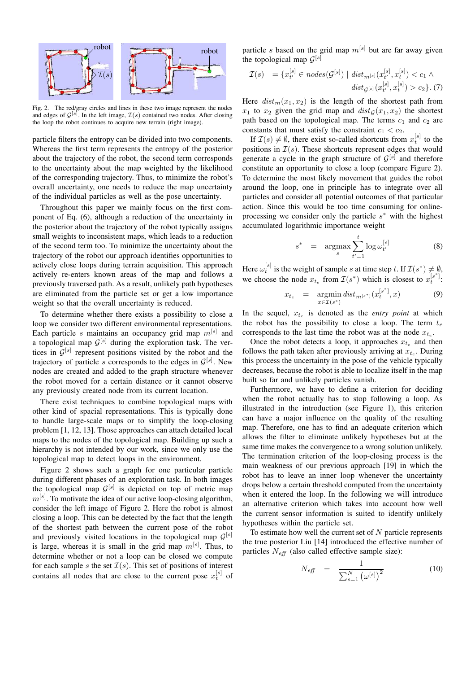

Fig. 2. The red/gray circles and lines in these two image represent the nodes and edges of  $G^{[s]}$ . In the left image,  $\mathcal{I}(s)$  contained two nodes. After closing the loop the robot continues to acquire new terrain (right image).

particle filters the entropy can be divided into two components. Whereas the first term represents the entropy of the posterior about the trajectory of the robot, the second term corresponds to the uncertainty about the map weighted by the likelihood of the corresponding trajectory. Thus, to minimize the robot's overall uncertainty, one needs to reduce the map uncertainty of the individual particles as well as the pose uncertainty.

Throughout this paper we mainly focus on the first component of Eq. (6), although a reduction of the uncertainty in the posterior about the trajectory of the robot typically assigns small weights to inconsistent maps, which leads to a reduction of the second term too. To minimize the uncertainty about the trajectory of the robot our approach identifies opportunities to actively close loops during terrain acquisition. This approach actively re-enters known areas of the map and follows a previously traversed path. As a result, unlikely path hypotheses are eliminated from the particle set or get a low importance weight so that the overall uncertainty is reduced.

To determine whether there exists a possibility to close a loop we consider two different environmental representations. Each particle s maintains an occupancy grid map  $m^{[s]}$  and a topological map  $\mathcal{G}^{[s]}$  during the exploration task. The vertices in  $\mathcal{G}^{[s]}$  represent positions visited by the robot and the trajectory of particle s corresponds to the edges in  $\mathcal{G}^{[s]}$ . New nodes are created and added to the graph structure whenever the robot moved for a certain distance or it cannot observe any previously created node from its current location.

There exist techniques to combine topological maps with other kind of spacial representations. This is typically done to handle large-scale maps or to simplify the loop-closing problem [1, 12, 13]. Those approaches can attach detailed local maps to the nodes of the topological map. Building up such a hierarchy is not intended by our work, since we only use the topological map to detect loops in the environment.

Figure 2 shows such a graph for one particular particle during different phases of an exploration task. In both images the topological map  $\mathcal{G}^{[s]}$  is depicted on top of metric map  $m^{[s]}$ . To motivate the idea of our active loop-closing algorithm, consider the left image of Figure 2. Here the robot is almost closing a loop. This can be detected by the fact that the length of the shortest path between the current pose of the robot and previously visited locations in the topological map  $\mathcal{G}^{[s]}$ is large, whereas it is small in the grid map  $m^{[s]}$ . Thus, to determine whether or not a loop can be closed we compute for each sample s the set  $\mathcal{I}(s)$ . This set of positions of interest contains all nodes that are close to the current pose  $x_t^{[s]}$  of

particle s based on the grid map  $m^{[s]}$  but are far away given the topological map  $\mathcal{G}^{[s]}$ 

$$
\mathcal{I}(s) = \{x_{t'}^{[s]} \in nodes(\mathcal{G}^{[s]}) \mid dist_{m^{[s]}}(x_{t'}^{[s]}, x_{t}^{[s]}) < c_1 \land
$$
\n
$$
dist_{\mathcal{G}^{[s]}}(x_{t'}^{[s]}, x_{t}^{[s]}) > c_2\}.\tag{7}
$$

Here  $dist_m(x_1, x_2)$  is the length of the shortest path from  $x_1$  to  $x_2$  given the grid map and  $dist_G(x_1, x_2)$  the shortest path based on the topological map. The terms  $c_1$  and  $c_2$  are constants that must satisfy the constraint  $c_1 < c_2$ .

If  $\mathcal{I}(s) \neq \emptyset$ , there exist so-called shortcuts from  $x_t^{[s]}$  to the positions in  $\mathcal{I}(s)$ . These shortcuts represent edges that would generate a cycle in the graph structure of  $\mathcal{G}^{[s]}$  and therefore constitute an opportunity to close a loop (compare Figure 2). To determine the most likely movement that guides the robot around the loop, one in principle has to integrate over all particles and consider all potential outcomes of that particular action. Since this would be too time consuming for onlineprocessing we consider only the particle  $s^*$  with the highest accumulated logarithmic importance weight

$$
s^* = \underset{s}{\operatorname{argmax}} \sum_{t'=1}^t \log \omega_{t'}^{[s]} \tag{8}
$$

Here  $\omega_t^{[s]}$  is the weight of sample s at time step t. If  $\mathcal{I}(s^*) \neq \emptyset$ , we choose the node  $x_{t_e}$  from  $\mathcal{I}(s^*)$  which is closest to  $x_t^{[s^*]}$ .

$$
x_{t_e} = \operatorname*{argmin}_{x \in \mathcal{I}(s^*)} dist_{m^{[s^*]}}(x_t^{[s^*]}, x) \tag{9}
$$

In the sequel,  $x_{t_e}$  is denoted as the *entry point* at which the robot has the possibility to close a loop. The term  $t_e$ corresponds to the last time the robot was at the node  $x_{t_e}$ .

Once the robot detects a loop, it approaches  $x_{t_e}$  and then follows the path taken after previously arriving at  $x_{t_e}$ . During this process the uncertainty in the pose of the vehicle typically decreases, because the robot is able to localize itself in the map built so far and unlikely particles vanish.

Furthermore, we have to define a criterion for deciding when the robot actually has to stop following a loop. As illustrated in the introduction (see Figure 1), this criterion can have a major influence on the quality of the resulting map. Therefore, one has to find an adequate criterion which allows the filter to eliminate unlikely hypotheses but at the same time makes the convergence to a wrong solution unlikely. The termination criterion of the loop-closing process is the main weakness of our previous approach [19] in which the robot has to leave an inner loop whenever the uncertainty drops below a certain threshold computed from the uncertainty when it entered the loop. In the following we will introduce an alternative criterion which takes into account how well the current sensor information is suited to identify unlikely hypotheses within the particle set.

To estimate how well the current set of  $N$  particle represents the true posterior Liu [14] introduced the effective number of particles  $N_{\text{eff}}$  (also called effective sample size):

$$
N_{\text{eff}} = \frac{1}{\sum_{s=1}^{N} (\omega^{[s]})^2}
$$
 (10)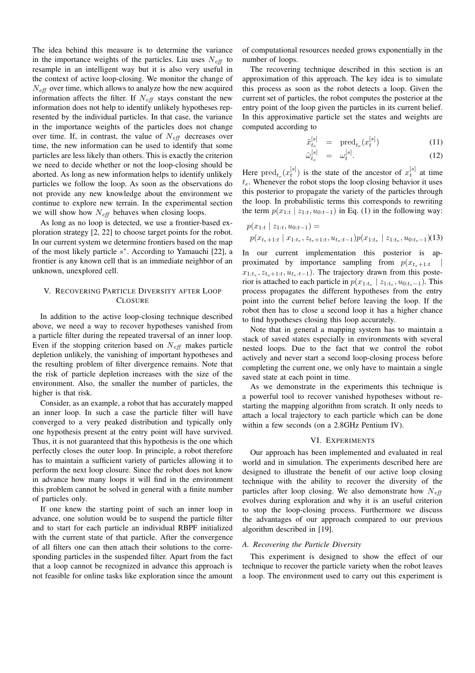The idea behind this measure is to determine the variance in the importance weights of the particles. Liu uses  $N_{\text{eff}}$  to resample in an intelligent way but it is also very useful in the context of active loop-closing. We monitor the change of  $N_{\text{eff}}$  over time, which allows to analyze how the new acquired information affects the filter. If  $N_{\text{eff}}$  stays constant the new information does not help to identify unlikely hypotheses represented by the individual particles. In that case, the variance in the importance weights of the particles does not change over time. If, in contrast, the value of  $N_{\text{eff}}$  decreases over time, the new information can be used to identify that some particles are less likely than others. This is exactly the criterion we need to decide whether or not the loop-closing should be aborted. As long as new information helps to identify unlikely particles we follow the loop. As soon as the observations do not provide any new knowledge about the environment we continue to explore new terrain. In the experimental section we will show how  $N_{\text{eff}}$  behaves when closing loops.

As long as no loop is detected, we use a frontier-based exploration strategy [2, 22] to choose target points for the robot. In our current system we determine frontiers based on the map of the most likely particle s<sup>\*</sup>. According to Yamauchi [22], a frontier is any known cell that is an immediate neighbor of an unknown, unexplored cell.

# V. RECOVERING PARTICLE DIVERSITY AFTER LOOP **CLOSURE**

In addition to the active loop-closing technique described above, we need a way to recover hypotheses vanished from a particle filter during the repeated traversal of an inner loop. Even if the stopping criterion based on  $N_{\text{eff}}$  makes particle depletion unlikely, the vanishing of important hypotheses and the resulting problem of filter divergence remains. Note that the risk of particle depletion increases with the size of the environment. Also, the smaller the number of particles, the higher is that risk.

Consider, as an example, a robot that has accurately mapped an inner loop. In such a case the particle filter will have converged to a very peaked distribution and typically only one hypothesis present at the entry point will have survived. Thus, it is not guaranteed that this hypothesis is the one which perfectly closes the outer loop. In principle, a robot therefore has to maintain a sufficient variety of particles allowing it to perform the next loop closure. Since the robot does not know in advance how many loops it will find in the environment this problem cannot be solved in general with a finite number of particles only.

If one knew the starting point of such an inner loop in advance, one solution would be to suspend the particle filter and to start for each particle an individual RBPF initialized with the current state of that particle. After the convergence of all filters one can then attach their solutions to the corresponding particles in the suspended filter. Apart from the fact that a loop cannot be recognized in advance this approach is not feasible for online tasks like exploration since the amount

of computational resources needed grows exponentially in the number of loops.

The recovering technique described in this section is an approximation of this approach. The key idea is to simulate this process as soon as the robot detects a loop. Given the current set of particles, the robot computes the posterior at the entry point of the loop given the particles in its current belief. In this approximative particle set the states and weights are computed according to

$$
\tilde{x}_{t_e}^{[s]} = \text{pred}_{t_e}(x_t^{[s]}) \tag{11}
$$

$$
\tilde{\omega}_{t_e}^{[s]} = \omega_t^{[s]}.\tag{12}
$$

Here  $\text{pred}_{t_e}(x_t^{[s]})$  is the state of the ancestor of  $x_t^{[s]}$  at time  $t_e$ . Whenever the robot stops the loop closing behavior it uses this posterior to propagate the variety of the particles through the loop. In probabilistic terms this corresponds to rewriting the term  $p(x_{1:t} | z_{1:t}, u_{0:t-1})$  in Eq. (1) in the following way:

$$
p(x_{1:t} | z_{1:t}, u_{0:t-1}) =
$$
  
 
$$
p(x_{t_e+1:t} | x_{1:t_e}, z_{t_e+1:t}, u_{t_e:t-1}) p(x_{1:t_e} | z_{1:t_e}, u_{0:t_e-1})
$$
 (13)

In our current implementation this posterior is approximated by importance sampling from  $p(x_{t-1}:t)$  $x_{1:t_e}, z_{t_e+1:t}, u_{t_e:t-1})$ . The trajectory drawn from this posterior is attached to each particle in  $p(x_{1:t_e} | z_{1:t_e}, u_{0:t_e-1})$ . This process propagates the different hypotheses from the entry point into the current belief before leaving the loop. If the robot then has to close a second loop it has a higher chance to find hypotheses closing this loop accurately.

Note that in general a mapping system has to maintain a stack of saved states especially in environments with several nested loops. Due to the fact that we control the robot actively and never start a second loop-closing process before completing the current one, we only have to maintain a single saved state at each point in time.

As we demonstrate in the experiments this technique is a powerful tool to recover vanished hypotheses without restarting the mapping algorithm from scratch. It only needs to attach a local trajectory to each particle which can be done within a few seconds (on a 2.8GHz Pentium IV).

## VI. EXPERIMENTS

Our approach has been implemented and evaluated in real world and in simulation. The experiments described here are designed to illustrate the benefit of our active loop closing technique with the ability to recover the diversity of the particles after loop closing. We also demonstrate how  $N_{\text{eff}}$ evolves during exploration and why it is an useful criterion to stop the loop-closing process. Furthermore we discuss the advantages of our approach compared to our previous algorithm described in [19].

#### *A. Recovering the Particle Diversity*

This experiment is designed to show the effect of our technique to recover the particle variety when the robot leaves a loop. The environment used to carry out this experiment is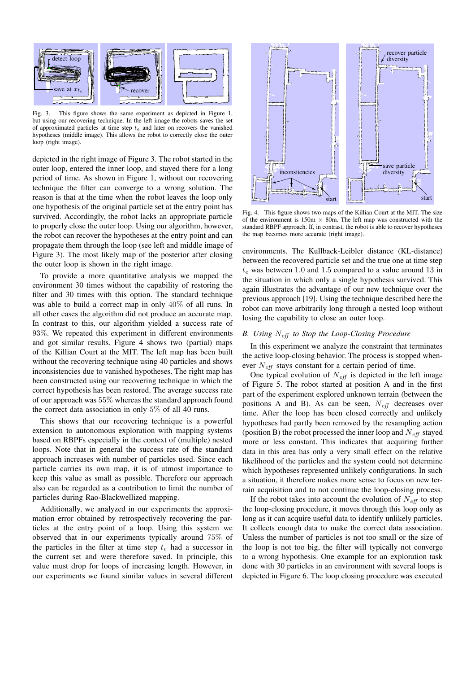

Fig. 3. This figure shows the same experiment as depicted in Figure 1, but using our recovering technique. In the left image the robots saves the set of approximated particles at time step  $t_e$  and later on recovers the vanished hypotheses (middle image). This allows the robot to correctly close the outer loop (right image).

depicted in the right image of Figure 3. The robot started in the outer loop, entered the inner loop, and stayed there for a long period of time. As shown in Figure 1, without our recovering technique the filter can converge to a wrong solution. The reason is that at the time when the robot leaves the loop only one hypothesis of the original particle set at the entry point has survived. Accordingly, the robot lacks an appropriate particle to properly close the outer loop. Using our algorithm, however, the robot can recover the hypotheses at the entry point and can propagate them through the loop (see left and middle image of Figure 3). The most likely map of the posterior after closing the outer loop is shown in the right image.

To provide a more quantitative analysis we mapped the environment 30 times without the capability of restoring the filter and 30 times with this option. The standard technique was able to build a correct map in only 40% of all runs. In all other cases the algorithm did not produce an accurate map. In contrast to this, our algorithm yielded a success rate of 93%. We repeated this experiment in different environments and got similar results. Figure 4 shows two (partial) maps of the Killian Court at the MIT. The left map has been built without the recovering technique using 40 particles and shows inconsistencies due to vanished hypotheses. The right map has been constructed using our recovering technique in which the correct hypothesis has been restored. The average success rate of our approach was 55% whereas the standard approach found the correct data association in only 5% of all 40 runs.

This shows that our recovering technique is a powerful extension to autonomous exploration with mapping systems based on RBPFs especially in the context of (multiple) nested loops. Note that in general the success rate of the standard approach increases with number of particles used. Since each particle carries its own map, it is of utmost importance to keep this value as small as possible. Therefore our approach also can be regarded as a contribution to limit the number of particles during Rao-Blackwellized mapping.

Additionally, we analyzed in our experiments the approximation error obtained by retrospectively recovering the particles at the entry point of a loop. Using this system we observed that in our experiments typically around 75% of the particles in the filter at time step  $t_e$  had a successor in the current set and were therefore saved. In principle, this value must drop for loops of increasing length. However, in our experiments we found similar values in several different



Fig. 4. This figure shows two maps of the Killian Court at the MIT. The size of the environment is  $150m \times 80m$ . The left map was constructed with the standard RBPF approach. If, in contrast, the robot is able to recover hypotheses the map becomes more accurate (right image).

environments. The Kullback-Leibler distance (KL-distance) between the recovered particle set and the true one at time step  $t_e$  was between 1.0 and 1.5 compared to a value around 13 in the situation in which only a single hypothesis survived. This again illustrates the advantage of our new technique over the previous approach [19]. Using the technique described here the robot can move arbitrarily long through a nested loop without losing the capability to close an outer loop.

# *B. Using* Neff *to Stop the Loop-Closing Procedure*

In this experiment we analyze the constraint that terminates the active loop-closing behavior. The process is stopped whenever  $N_{\text{eff}}$  stays constant for a certain period of time.

One typical evolution of  $N_{\text{eff}}$  is depicted in the left image of Figure 5. The robot started at position A and in the first part of the experiment explored unknown terrain (between the positions A and B). As can be seen,  $N_{\text{eff}}$  decreases over time. After the loop has been closed correctly and unlikely hypotheses had partly been removed by the resampling action (position B) the robot processed the inner loop and  $N_{\text{eff}}$  stayed more or less constant. This indicates that acquiring further data in this area has only a very small effect on the relative likelihood of the particles and the system could not determine which hypotheses represented unlikely configurations. In such a situation, it therefore makes more sense to focus on new terrain acquisition and to not continue the loop-closing process.

If the robot takes into account the evolution of  $N_{\text{eff}}$  to stop the loop-closing procedure, it moves through this loop only as long as it can acquire useful data to identify unlikely particles. It collects enough data to make the correct data association. Unless the number of particles is not too small or the size of the loop is not too big, the filter will typically not converge to a wrong hypothesis. One example for an exploration task done with 30 particles in an environment with several loops is depicted in Figure 6. The loop closing procedure was executed